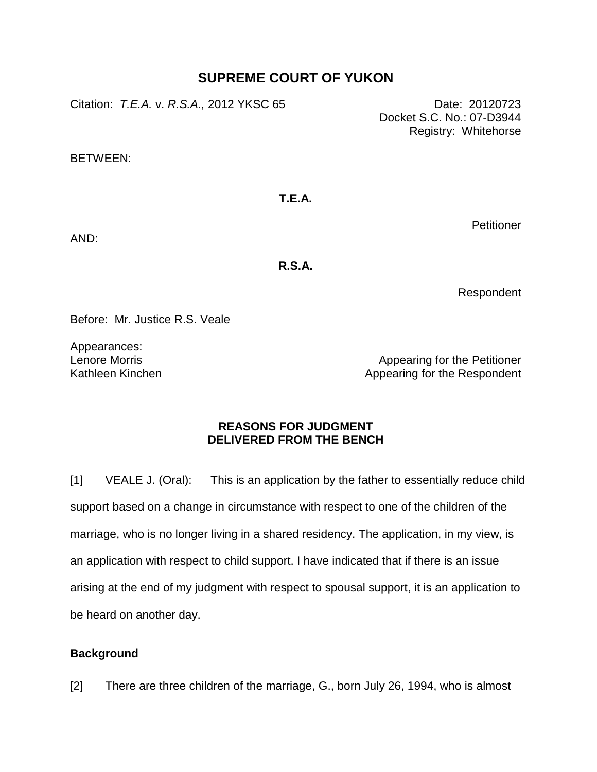# **SUPREME COURT OF YUKON**

Citation: *T.E.A.* v. *R.S.A.,* 2012 YKSC 65 Date: 20120723

Docket S.C. No.: 07-D3944 Registry: Whitehorse

BETWEEN:

## **T.E.A.**

**Petitioner** 

AND:

**R.S.A.**

Respondent

Before: Mr. Justice R.S. Veale

Appearances: Lenore Morris Kathleen Kinchen

Appearing for the Petitioner Appearing for the Respondent

### **REASONS FOR JUDGMENT DELIVERED FROM THE BENCH**

[1] VEALE J. (Oral): This is an application by the father to essentially reduce child support based on a change in circumstance with respect to one of the children of the marriage, who is no longer living in a shared residency. The application, in my view, is an application with respect to child support. I have indicated that if there is an issue arising at the end of my judgment with respect to spousal support, it is an application to be heard on another day.

## **Background**

[2] There are three children of the marriage, G., born July 26, 1994, who is almost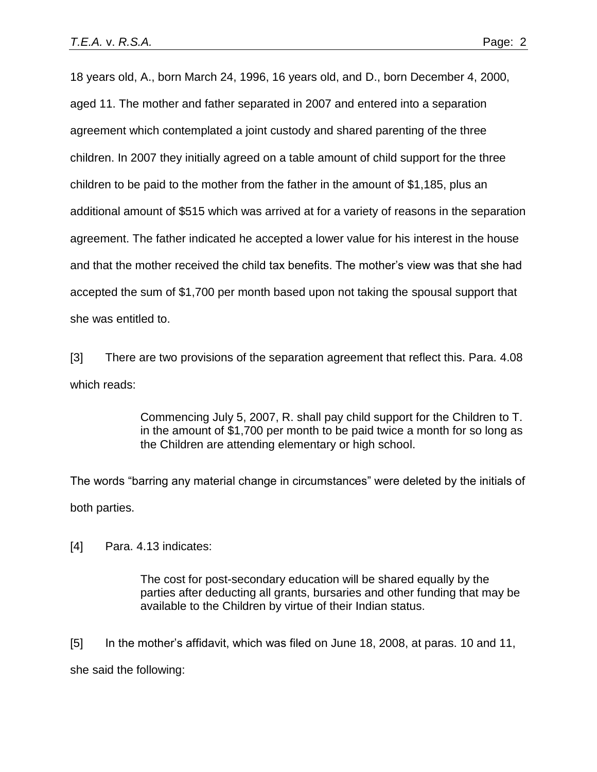18 years old, A., born March 24, 1996, 16 years old, and D., born December 4, 2000, aged 11. The mother and father separated in 2007 and entered into a separation agreement which contemplated a joint custody and shared parenting of the three children. In 2007 they initially agreed on a table amount of child support for the three children to be paid to the mother from the father in the amount of \$1,185, plus an additional amount of \$515 which was arrived at for a variety of reasons in the separation agreement. The father indicated he accepted a lower value for his interest in the house and that the mother received the child tax benefits. The mother's view was that she had accepted the sum of \$1,700 per month based upon not taking the spousal support that she was entitled to.

[3] There are two provisions of the separation agreement that reflect this. Para. 4.08 which reads:

> Commencing July 5, 2007, R. shall pay child support for the Children to T. in the amount of \$1,700 per month to be paid twice a month for so long as the Children are attending elementary or high school.

The words "barring any material change in circumstances" were deleted by the initials of both parties.

[4] Para. 4.13 indicates:

The cost for post-secondary education will be shared equally by the parties after deducting all grants, bursaries and other funding that may be available to the Children by virtue of their Indian status.

[5] In the mother's affidavit, which was filed on June 18, 2008, at paras. 10 and 11, she said the following: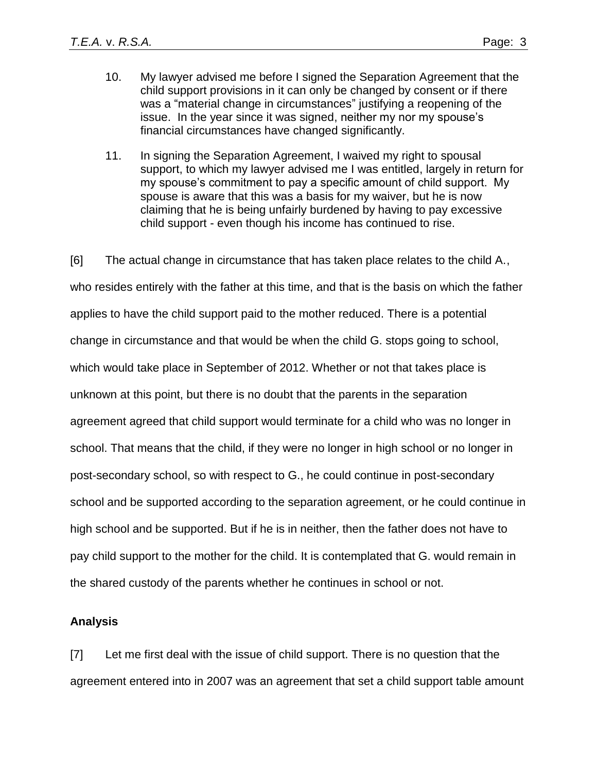- 10. My lawyer advised me before I signed the Separation Agreement that the child support provisions in it can only be changed by consent or if there was a "material change in circumstances" justifying a reopening of the issue. In the year since it was signed, neither my nor my spouse's financial circumstances have changed significantly.
- 11. In signing the Separation Agreement, I waived my right to spousal support, to which my lawyer advised me I was entitled, largely in return for my spouse's commitment to pay a specific amount of child support. My spouse is aware that this was a basis for my waiver, but he is now claiming that he is being unfairly burdened by having to pay excessive child support - even though his income has continued to rise.

[6] The actual change in circumstance that has taken place relates to the child A., who resides entirely with the father at this time, and that is the basis on which the father applies to have the child support paid to the mother reduced. There is a potential change in circumstance and that would be when the child G. stops going to school, which would take place in September of 2012. Whether or not that takes place is unknown at this point, but there is no doubt that the parents in the separation agreement agreed that child support would terminate for a child who was no longer in school. That means that the child, if they were no longer in high school or no longer in post-secondary school, so with respect to G., he could continue in post-secondary school and be supported according to the separation agreement, or he could continue in high school and be supported. But if he is in neither, then the father does not have to pay child support to the mother for the child. It is contemplated that G. would remain in the shared custody of the parents whether he continues in school or not.

#### **Analysis**

[7] Let me first deal with the issue of child support. There is no question that the agreement entered into in 2007 was an agreement that set a child support table amount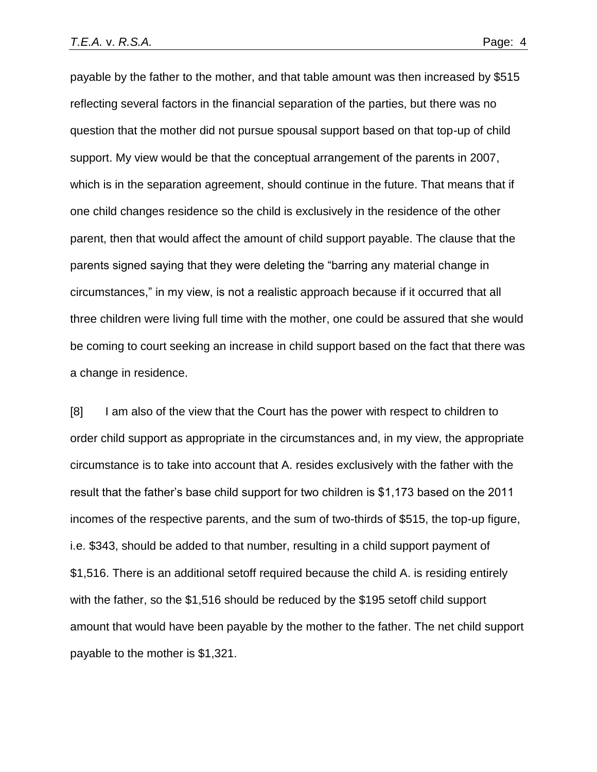payable by the father to the mother, and that table amount was then increased by \$515 reflecting several factors in the financial separation of the parties, but there was no question that the mother did not pursue spousal support based on that top-up of child support. My view would be that the conceptual arrangement of the parents in 2007, which is in the separation agreement, should continue in the future. That means that if one child changes residence so the child is exclusively in the residence of the other parent, then that would affect the amount of child support payable. The clause that the parents signed saying that they were deleting the "barring any material change in circumstances," in my view, is not a realistic approach because if it occurred that all three children were living full time with the mother, one could be assured that she would be coming to court seeking an increase in child support based on the fact that there was a change in residence.

[8] I am also of the view that the Court has the power with respect to children to order child support as appropriate in the circumstances and, in my view, the appropriate circumstance is to take into account that A. resides exclusively with the father with the result that the father's base child support for two children is \$1,173 based on the 2011 incomes of the respective parents, and the sum of two-thirds of \$515, the top-up figure, i.e. \$343, should be added to that number, resulting in a child support payment of \$1,516. There is an additional setoff required because the child A. is residing entirely with the father, so the \$1,516 should be reduced by the \$195 setoff child support amount that would have been payable by the mother to the father. The net child support payable to the mother is \$1,321.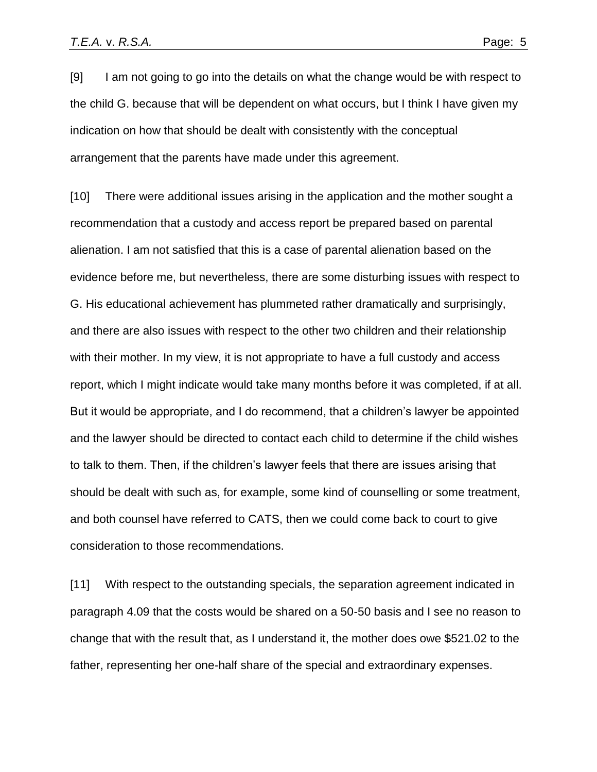[9] I am not going to go into the details on what the change would be with respect to the child G. because that will be dependent on what occurs, but I think I have given my indication on how that should be dealt with consistently with the conceptual arrangement that the parents have made under this agreement.

[10] There were additional issues arising in the application and the mother sought a recommendation that a custody and access report be prepared based on parental alienation. I am not satisfied that this is a case of parental alienation based on the evidence before me, but nevertheless, there are some disturbing issues with respect to G. His educational achievement has plummeted rather dramatically and surprisingly, and there are also issues with respect to the other two children and their relationship with their mother. In my view, it is not appropriate to have a full custody and access report, which I might indicate would take many months before it was completed, if at all. But it would be appropriate, and I do recommend, that a children's lawyer be appointed and the lawyer should be directed to contact each child to determine if the child wishes to talk to them. Then, if the children's lawyer feels that there are issues arising that should be dealt with such as, for example, some kind of counselling or some treatment, and both counsel have referred to CATS, then we could come back to court to give consideration to those recommendations.

[11] With respect to the outstanding specials, the separation agreement indicated in paragraph 4.09 that the costs would be shared on a 50-50 basis and I see no reason to change that with the result that, as I understand it, the mother does owe \$521.02 to the father, representing her one-half share of the special and extraordinary expenses.